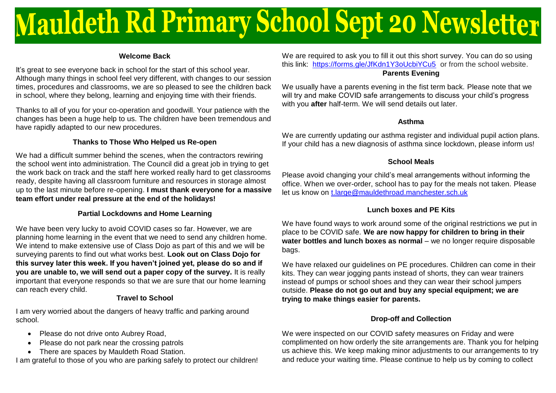# **Mauldeth Rd Primary School Sept 20 Newsletter**

#### **Welcome Back**

It's great to see everyone back in school for the start of this school year. Although many things in school feel very different, with changes to our session times, procedures and classrooms, we are so pleased to see the children back in school, where they belong, learning and enjoying time with their friends.

Thanks to all of you for your co-operation and goodwill. Your patience with the changes has been a huge help to us. The children have been tremendous and have rapidly adapted to our new procedures.

### **Thanks to Those Who Helped us Re-open**

We had a difficult summer behind the scenes, when the contractors rewiring the school went into administration. The Council did a great job in trying to get the work back on track and the staff here worked really hard to get classrooms ready, despite having all classroom furniture and resources in storage almost up to the last minute before re-opening. **I must thank everyone for a massive team effort under real pressure at the end of the holidays!**

### **Partial Lockdowns and Home Learning**

We have been very lucky to avoid COVID cases so far. However, we are planning home learning in the event that we need to send any children home. We intend to make extensive use of Class Dojo as part of this and we will be surveying parents to find out what works best. **Look out on Class Dojo for this survey later this week. If you haven't joined yet, please do so and if you are unable to, we will send out a paper copy of the survey.** It is really important that everyone responds so that we are sure that our home learning can reach every child.

# **Travel to School**

I am very worried about the dangers of heavy traffic and parking around school.

- Please do not drive onto Aubrey Road.
- Please do not park near the crossing patrols
- There are spaces by Mauldeth Road Station.

I am grateful to those of you who are parking safely to protect our children!

We are required to ask you to fill it out this short survey. You can do so using this link: <https://forms.gle/JfKdn1Y3oUcbiYCu5>or from the school website. **Parents Evening**

We usually have a parents evening in the fist term back. Please note that we will try and make COVID safe arrangements to discuss your child's progress with you **after** half-term. We will send details out later.

#### **Asthma**

We are currently updating our asthma register and individual pupil action plans. If your child has a new diagnosis of asthma since lockdown, please inform us!

# **School Meals**

Please avoid changing your child's meal arrangements without informing the office. When we over-order, school has to pay for the meals not taken. Please let us know on t.large@mauldethroad.manchester.sch.uk

# **Lunch boxes and PE Kits**

We have found ways to work around some of the original restrictions we put in place to be COVID safe. **We are now happy for children to bring in their water bottles and lunch boxes as normal** – we no longer require disposable bags.

We have relaxed our guidelines on PE procedures. Children can come in their kits. They can wear jogging pants instead of shorts, they can wear trainers instead of pumps or school shoes and they can wear their school jumpers outside. **Please do not go out and buy any special equipment; we are trying to make things easier for parents.**

# **Drop-off and Collection**

We were inspected on our COVID safety measures on Friday and were complimented on how orderly the site arrangements are. Thank you for helping us achieve this. We keep making minor adjustments to our arrangements to try and reduce your waiting time. Please continue to help us by coming to collect